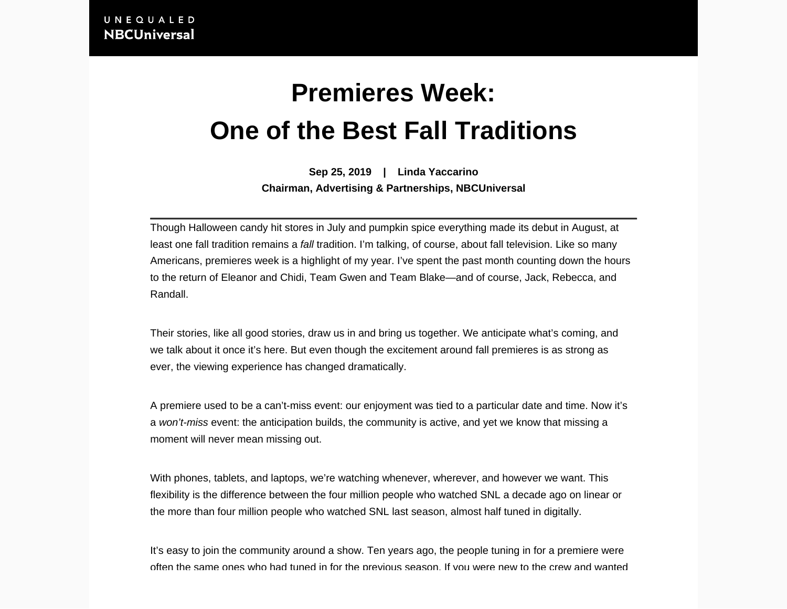## **Premieres Week: One of the Best Fall Traditions**

**Sep 25, 2019 | Linda Yaccarino**

**Chairman, Advertising & Partnerships, NBCUniversal**

Though Halloween candy hit stores in July and pumpkin spice everything made its debut in August, at least one fall tradition remains a fall tradition. I'm talking, of course, about fall television. Like so many Americans, premieres week is a highlight of my year. I've spent the past month counting down the hours to the return of Eleanor and Chidi, Team Gwen and Team Blake—and of course, Jack, Rebecca, and Randall.

Their stories, like all good stories, draw us in and bring us together. We anticipate what's coming, and we talk about it once it's here. But even though the excitement around fall premieres is as strong as ever, the viewing experience has changed dramatically.

A premiere used to be a can't-miss event: our enjoyment was tied to a particular date and time. Now it's a won't-miss event: the anticipation builds, the community is active, and yet we know that missing a moment will never mean missing out.

With phones, tablets, and laptops, we're watching whenever, wherever, and however we want. This flexibility is the difference between the four million people who watched SNL a decade ago on linear or the more than four million people who watched SNL last season, almost half tuned in digitally.

It's easy to join the community around a show. Ten years ago, the people tuning in for a premiere were often the same ones who had tuned in for the previous season. If you were new to the crew and wanted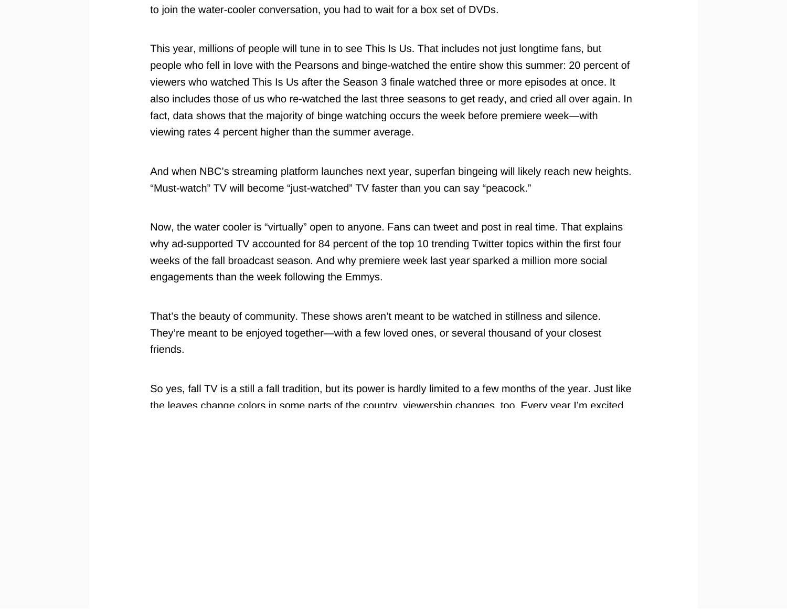to join the water-cooler conversation, you had to wait for a box set of DVDs.

This year, millions of people will tune in to see This Is Us. That includes not just longtime fans, but people who fell in love with the Pearsons and binge-watched the entire show this summer: 20 percent of viewers who watched This Is Us after the Season 3 finale watched three or more episodes at once. It also includes those of us who re-watched the last three seasons to get ready, and cried all over again. In fact, data shows that the majority of binge watching occurs the week before premiere week—with viewing rates 4 percent higher than the summer average.

And when NBC's streaming platform launches next year, superfan bingeing will likely reach new heights. "Must-watch" TV will become "just-watched" TV faster than you can say "peacock."

Now, the water cooler is "virtually" open to anyone. Fans can tweet and post in real time. That explains why ad-supported TV accounted for 84 percent of the top 10 trending Twitter topics within the first four weeks of the fall broadcast season. And why premiere week last year sparked a million more social engagements than the week following the Emmys.

That's the beauty of community. These shows aren't meant to be watched in stillness and silence. They're meant to be enjoyed together—with a few loved ones, or several thousand of your closest friends.

So yes, fall TV is a still a fall tradition, but its power is hardly limited to a few months of the year. Just like the leaves change colors in some parts of the country, viewership changes, too. Every year I'm excited